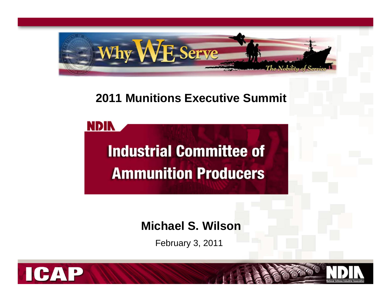

## **2011 Munitions Executive Summit**

**Industrial Committee of Ammunition Producers** 

**Michael S. Wilson**

February 3, 2011



**NDIN**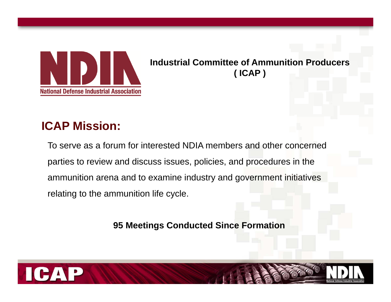

**Industrial Committee of Ammunition Producers ( ICAP )**

# **ICAP Mission:**

To serve as a forum for interested NDIA members and other concerned parties to review and discuss issues, policies, and procedures in the ammunition arena and to examine industry and government initiatives relating to the ammunition life cycle.

**95 Meetings Conducted Since Formation**

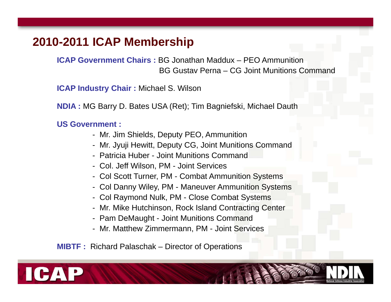## **2010-2011 ICAP Membership**

**ICAP Government Chairs :** BG Jonathan Maddux – PEO AmmunitionBG Gustav Perna – CG Joint Munitions Command

**ICAP Industry Chair :** Michael S. Wilson

**NDIA :** MG Barry D. Bates USA (Ret); Tim Bagniefski, Michael Dauth

#### **US Government :**

- Mr. Jim Shields, Deputy PEO, Ammunition
- Mr. Jyuji Hewitt, Deputy CG, Joint Munitions Command
- Patricia Huber Joint Munitions Command
- Col. Jeff Wilson, PM Joint Services
- Col Scott Turner, PM Combat Ammunition Systems
- Col Danny Wiley, PM Maneuver Ammunition Systems
- Col Raymond Nulk, PM Close Combat Systems
- Mr. Mike Hutchinson, Rock Island Contracting Center
- Pam DeMaught Joint Munitions Command
- Mr. Matthew Zimmermann, PM Joint Services

**MIBTF :** Richard Palaschak – Director of Operations

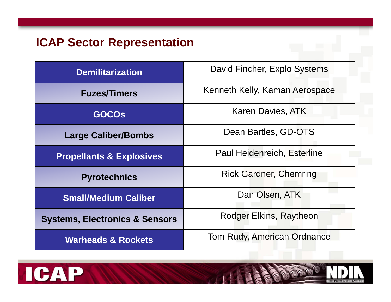# **ICAP Sector Representation**

| <b>Demilitarization</b>                   | David Fincher, Explo Systems       |
|-------------------------------------------|------------------------------------|
| <b>Fuzes/Timers</b>                       | Kenneth Kelly, Kaman Aerospace     |
| <b>GOCOS</b>                              | <b>Karen Davies, ATK</b>           |
| <b>Large Caliber/Bombs</b>                | Dean Bartles, GD-OTS               |
| <b>Propellants &amp; Explosives</b>       | Paul Heidenreich, Esterline        |
| <b>Pyrotechnics</b>                       | <b>Rick Gardner, Chemring</b>      |
| <b>Small/Medium Caliber</b>               | Dan Olsen, ATK                     |
| <b>Systems, Electronics &amp; Sensors</b> | Rodger Elkins, Raytheon            |
| <b>Warheads &amp; Rockets</b>             | <b>Tom Rudy, American Ordnance</b> |



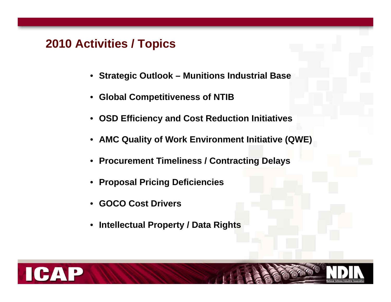### **2010 Activities / Topics**

- **Strategic Outlook – Munitions Industrial Base**
- **Global Competitiveness of NTIB**
- **OSD Efficiency and Cost Reduction Initiatives**
- **AMC Quality of Work Environment Initiative (QWE)**
- **Procurement Timeliness / Contracting Delays**
- **Proposal Pricing Deficiencies**
- **GOCO Cost Drivers**
- $\bullet$ **Intellectual Property / Data Rights**

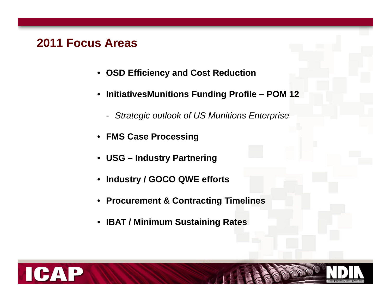### **2011 Focus Areas**

- **OSD Efficiency and Cost Reduction**
- • **InitiativesMunitions Funding Profile – POM 12**
	- *Strategic outlook of US Munitions Enterprise*
- **FMS Case Processing**
- **USG – Industry Partnering**
- •**Industry / GOCO QWE efforts**
- •**Procurement & Contracting Timelines**
- **IBAT / Minimum Sustaining Rates**